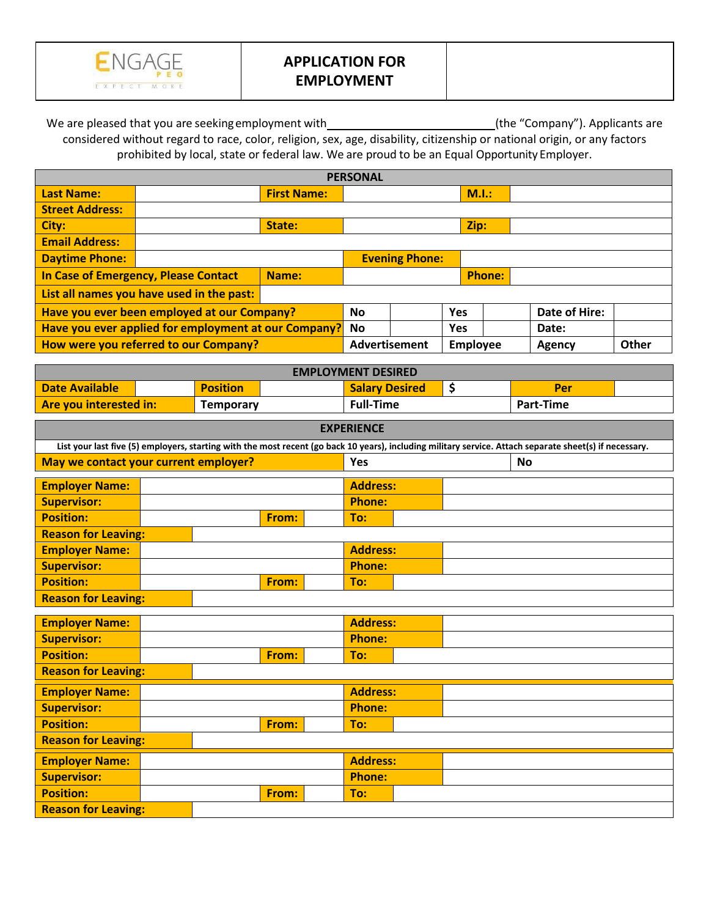

## **APPLICATION FOR EMPLOYMENT**

We are pleased that you are seeking employment with\_\_\_\_\_\_\_\_\_\_\_\_\_\_\_\_\_\_\_\_\_\_\_\_\_\_\_\_\_(the "Company"). Applicants are considered without regard to race, color, religion, sex, age, disability, citizenship or national origin, or any factors prohibited by local, state or federal law. We are proud to be an Equal Opportunity Employer.

| <b>PERSONAL</b>                                      |  |           |                       |            |               |                 |        |       |  |
|------------------------------------------------------|--|-----------|-----------------------|------------|---------------|-----------------|--------|-------|--|
| <b>Last Name:</b>                                    |  |           |                       |            | M.I.:         |                 |        |       |  |
| <b>Street Address:</b>                               |  |           |                       |            |               |                 |        |       |  |
| City:                                                |  | State:    |                       |            |               | Zip:            |        |       |  |
| <b>Email Address:</b>                                |  |           |                       |            |               |                 |        |       |  |
| <b>Daytime Phone:</b>                                |  |           | <b>Evening Phone:</b> |            |               |                 |        |       |  |
| In Case of Emergency, Please Contact<br>Name:        |  |           |                       |            | <b>Phone:</b> |                 |        |       |  |
| List all names you have used in the past:            |  |           |                       |            |               |                 |        |       |  |
| Have you ever been employed at our Company?          |  | <b>No</b> |                       | <b>Yes</b> |               | Date of Hire:   |        |       |  |
| Have you ever applied for employment at our Company? |  | <b>No</b> |                       | Yes        |               | Date:           |        |       |  |
| How were you referred to our Company?                |  |           | <b>Advertisement</b>  |            |               | <b>Employee</b> | Agency | Other |  |

| <b>EMPLOYMENT DESIRED</b>                                                                                                                               |                            |                  |       |  |                             |  |  |           |  |  |
|---------------------------------------------------------------------------------------------------------------------------------------------------------|----------------------------|------------------|-------|--|-----------------------------|--|--|-----------|--|--|
| <b>Date Available</b>                                                                                                                                   |                            | <b>Position</b>  |       |  | \$<br><b>Salary Desired</b> |  |  | Per       |  |  |
| Are you interested in:                                                                                                                                  |                            | <b>Temporary</b> |       |  | <b>Full-Time</b>            |  |  | Part-Time |  |  |
| <b>EXPERIENCE</b>                                                                                                                                       |                            |                  |       |  |                             |  |  |           |  |  |
| List your last five (5) employers, starting with the most recent (go back 10 years), including military service. Attach separate sheet(s) if necessary. |                            |                  |       |  |                             |  |  |           |  |  |
| May we contact your current employer?                                                                                                                   |                            |                  |       |  | <b>Yes</b>                  |  |  | <b>No</b> |  |  |
| <b>Employer Name:</b><br><b>Address:</b>                                                                                                                |                            |                  |       |  |                             |  |  |           |  |  |
| <b>Supervisor:</b>                                                                                                                                      |                            |                  |       |  | <b>Phone:</b>               |  |  |           |  |  |
| <b>Position:</b>                                                                                                                                        |                            |                  | From: |  | To:                         |  |  |           |  |  |
|                                                                                                                                                         | <b>Reason for Leaving:</b> |                  |       |  |                             |  |  |           |  |  |
| <b>Address:</b><br><b>Employer Name:</b>                                                                                                                |                            |                  |       |  |                             |  |  |           |  |  |
| <b>Supervisor:</b>                                                                                                                                      | <b>Phone:</b>              |                  |       |  |                             |  |  |           |  |  |
| <b>Position:</b>                                                                                                                                        |                            |                  | From: |  | To:                         |  |  |           |  |  |
| <b>Reason for Leaving:</b>                                                                                                                              |                            |                  |       |  |                             |  |  |           |  |  |
|                                                                                                                                                         |                            |                  |       |  |                             |  |  |           |  |  |
| <b>Employer Name:</b>                                                                                                                                   | <b>Address:</b>            |                  |       |  |                             |  |  |           |  |  |
| <b>Supervisor:</b>                                                                                                                                      |                            |                  |       |  | <b>Phone:</b>               |  |  |           |  |  |
| <b>Position:</b>                                                                                                                                        |                            |                  | From: |  | To:                         |  |  |           |  |  |

| <b>Position:</b>           |  | From: | To:             |  |  |  |  |  |
|----------------------------|--|-------|-----------------|--|--|--|--|--|
| <b>Reason for Leaving:</b> |  |       |                 |  |  |  |  |  |
| <b>Employer Name:</b>      |  |       | <b>Address:</b> |  |  |  |  |  |
| <b>Supervisor:</b>         |  |       | <b>Phone:</b>   |  |  |  |  |  |
| <b>Position:</b>           |  | From: | To:             |  |  |  |  |  |
| <b>Reason for Leaving:</b> |  |       |                 |  |  |  |  |  |
| <b>Employer Name:</b>      |  |       | <b>Address:</b> |  |  |  |  |  |
| Supervisor:                |  |       | <b>Phone:</b>   |  |  |  |  |  |
| <b>Position:</b>           |  | From: | To:             |  |  |  |  |  |
| <b>Reason for Leaving:</b> |  |       |                 |  |  |  |  |  |